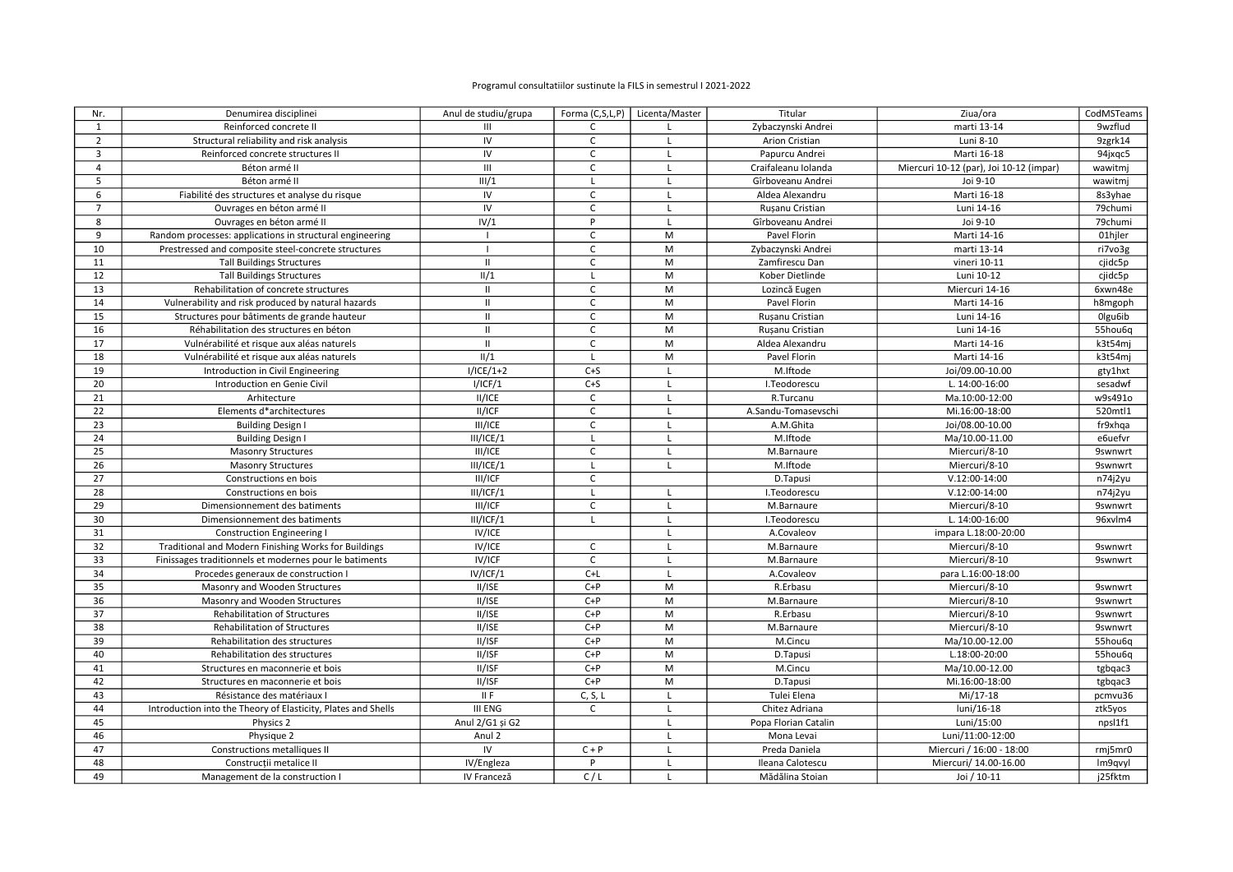## Programul consultatiilor sustinute la FILS in semestrul I 2021-2022

| Nr.            | Denumirea disciplinei                                         | Anul de studiu/grupa |                | Forma (C,S,L,P)   Licenta/Master | Titular              | Ziua/ora                                | CodMSTeams     |
|----------------|---------------------------------------------------------------|----------------------|----------------|----------------------------------|----------------------|-----------------------------------------|----------------|
| $\mathbf{1}$   | Reinforced concrete II                                        | $\mathbf{III}$       | $\mathsf{C}$   | L.                               | Zybaczynski Andrei   | marti 13-14                             | 9wzflud        |
| $\overline{2}$ | Structural reliability and risk analysis                      | IV                   | C              | $\mathbf{I}$                     | Arion Cristian       | Luni 8-10                               | 9zgrk14        |
| 3              | Reinforced concrete structures II                             | IV                   | $\mathsf{C}$   | $\mathsf{L}$                     | Papurcu Andrei       | Marti 16-18                             | 94jxqc5        |
| $\overline{4}$ | Béton armé II                                                 | $\mathbf{H}$         | $\mathsf{C}$   | L                                | Craifaleanu Iolanda  | Miercuri 10-12 (par), Joi 10-12 (impar) | wawitmj        |
| 5              | Béton armé II                                                 | III/1                | L              | $\mathsf{L}$                     | Gîrboveanu Andrei    | Joi 9-10                                | wawitmj        |
| 6              | Fiabilité des structures et analyse du risque                 | IV                   | $\mathsf{C}$   | L                                | Aldea Alexandru      | Marti 16-18                             | 8s3yhae        |
| $\overline{7}$ | Ouvrages en béton armé II                                     | IV                   | $\mathsf{C}$   | $\mathsf{L}$                     | Rusanu Cristian      | Luni 14-16                              | 79chumi        |
| 8              | Ouvrages en béton armé II                                     | IV/1                 | P              | L                                | Gîrboveanu Andrei    | Joi 9-10                                | 79chumi        |
| 9              | Random processes: applications in structural engineering      |                      | $\mathsf C$    | M                                | Pavel Florin         | Marti 14-16                             | 01hjler        |
| 10             | Prestressed and composite steel-concrete structures           |                      | $\mathsf{C}$   | M                                | Zybaczynski Andrei   | marti 13-14                             | ri7vo3g        |
| 11             | <b>Tall Buildings Structures</b>                              | $\mathbf{H}$         | $\overline{C}$ | M                                | Zamfirescu Dan       | vineri 10-11                            | cjidc5p        |
| 12             | <b>Tall Buildings Structures</b>                              | II/1                 | $\mathsf L$    | M                                | Kober Dietlinde      | Luni 10-12                              | cjidc5p        |
| 13             | Rehabilitation of concrete structures                         | $\mathbf{H}$         | $\mathsf C$    | M                                | Lozincă Eugen        | Miercuri 14-16                          | 6xwn48e        |
| 14             | Vulnerability and risk produced by natural hazards            | $\mathbf{H}$         | $\mathsf C$    | M                                | Pavel Florin         | Marti 14-16                             | h8mgoph        |
| 15             | Structures pour bâtiments de grande hauteur                   | $\mathbf{II}$        | C              | M                                | Rusanu Cristian      | Luni 14-16                              | Olgu6ib        |
| 16             | Réhabilitation des structures en béton                        | $\mathbf{H}$         | C              | M                                | Rusanu Cristian      | Luni 14-16                              | 55hou6q        |
| 17             | Vulnérabilité et risque aux aléas naturels                    | $\mathbf{H}$         | $\mathsf C$    | M                                | Aldea Alexandru      | Marti 14-16                             | k3t54mi        |
| 18             | Vulnérabilité et risque aux aléas naturels                    | II/1                 | $\mathsf{L}$   | M                                | Pavel Florin         | Marti 14-16                             | k3t54mj        |
| 19             | Introduction in Civil Engineering                             | $I/ICE/1+2$          | $C + S$        | $\mathsf{L}$                     | M.Iftode             | Joi/09.00-10.00                         | gty1hxt        |
| 20             | Introduction en Genie Civil                                   | I/ICF/1              | $C + S$        | $\mathsf{L}$                     | I.Teodorescu         | L. 14:00-16:00                          | sesadwf        |
| 21             | Arhitecture                                                   | II/ICE               | C              | $\mathsf{L}$                     | R.Turcanu            | Ma.10:00-12:00                          | w9s491o        |
| 22             | Elements d*architectures                                      | II/ICF               | $\mathsf{C}$   | $\mathsf{L}$                     | A.Sandu-Tomasevschi  | Mi.16:00-18:00                          | 520mtl1        |
| 23             | <b>Building Design I</b>                                      | III/ICE              | $\mathsf C$    | $\mathsf{L}$                     | A.M.Ghita            | Joi/08.00-10.00                         | fr9xhqa        |
| 24             | <b>Building Design I</b>                                      | III/ICE/1            | $\mathsf{L}$   | $\mathsf{L}$                     | M.Iftode             | Ma/10.00-11.00                          | e6uefvr        |
| 25             | <b>Masonry Structures</b>                                     | III/ICE              | C              | $\mathsf{L}$                     | M.Barnaure           | Miercuri/8-10                           | <b>9swnwrt</b> |
| 26             | <b>Masonry Structures</b>                                     | III/ICE/1            | $\mathsf{L}$   | $\mathsf{L}$                     | M.Iftode             | Miercuri/8-10                           | <b>9swnwrt</b> |
| 27             | Constructions en bois                                         | III/ICF              | $\mathsf C$    |                                  | D.Tapusi             | $V.12:00-14:00$                         | n74j2yu        |
| 28             | Constructions en bois                                         | III/ICF/1            | $\mathsf{L}$   | L                                | I.Teodorescu         | $V.12:00-14:00$                         | n74j2yu        |
| 29             | Dimensionnement des batiments                                 | III/ICF              | $\mathsf C$    | L.                               | M.Barnaure           | Miercuri/8-10                           | <b>9swnwrt</b> |
| 30             | Dimensionnement des batiments                                 | III/ICF/1            | $\mathsf{L}$   | $\mathsf{L}$                     | I.Teodorescu         | L. 14:00-16:00                          | 96xvlm4        |
| 31             | <b>Construction Engineering I</b>                             | IV/ICE               |                | $\mathsf{L}$                     | A.Covaleov           | impara L.18:00-20:00                    |                |
| 32             | Traditional and Modern Finishing Works for Buildings          | IV/ICE               | $\mathsf C$    | $\mathsf{L}$                     | M.Barnaure           | Miercuri/8-10                           | <b>9swnwrt</b> |
| 33             | Finissages traditionnels et modernes pour le batiments        | IV/ICF               | C              | L.                               | M.Barnaure           | Miercuri/8-10                           | <b>9swnwrt</b> |
| 34             | Procedes generaux de construction I                           | IV/ICF/1             | $C+L$          | $\mathsf{L}$                     | A.Covaleov           | para L.16:00-18:00                      |                |
| 35             | Masonry and Wooden Structures                                 | II/ISE               | $C+P$          | M                                | R.Erbasu             | Miercuri/8-10                           | <b>9swnwrt</b> |
| 36             | Masonry and Wooden Structures                                 | II/ISE               | $C+P$          | M                                | M.Barnaure           | Miercuri/8-10                           | <b>9swnwrt</b> |
| 37             | <b>Rehabilitation of Structures</b>                           | II/ISE               | $C+P$          | M                                | R.Erbasu             | Miercuri/8-10                           | <b>9swnwrt</b> |
| 38             | Rehabilitation of Structures                                  | II/ISE               | $C+P$          | M                                | M.Barnaure           | Miercuri/8-10                           | <b>9swnwrt</b> |
| 39             | Rehabilitation des structures                                 | II/ISF               | $C+P$          | M                                | M.Cincu              | Ma/10.00-12.00                          | 55hou6q        |
| 40             | Rehabilitation des structures                                 | II/ISF               | $C+P$          | M                                | D.Tapusi             | L.18:00-20:00                           | 55hou6q        |
| 41             | Structures en maconnerie et bois                              | II/ISF               | $C+P$          | M                                | M.Cincu              | Ma/10.00-12.00                          | tgbqac3        |
| 42             | Structures en maconnerie et bois                              | II/ISF               | $C+P$          | M                                | D.Tapusi             | Mi.16:00-18:00                          | tgbqac3        |
| 43             | Résistance des matériaux I                                    | II F                 | C, S, L        | L                                | Tulei Elena          | Mi/17-18                                | pcmvu36        |
| 44             | Introduction into the Theory of Elasticity, Plates and Shells | <b>III ENG</b>       | $\mathsf{C}$   | $\mathsf{L}$                     | Chitez Adriana       | luni/16-18                              | ztk5yos        |
| 45             | Physics 2                                                     | Anul 2/G1 și G2      |                | $\mathsf{L}$                     | Popa Florian Catalin | Luni/15:00                              | npsl1f1        |
| 46             | Physique 2                                                    | Anul 2               |                | $\mathsf{L}$                     | Mona Levai           | Luni/11:00-12:00                        |                |
| 47             | Constructions metalliques II                                  | IV                   | $C + P$        | L                                | Preda Daniela        | Miercuri / 16:00 - 18:00                | rmj5mr0        |
| 48             | Constructii metalice II                                       | IV/Engleza           | P              | $\mathsf{L}$                     | Ileana Calotescu     | Miercuri/ 14.00-16.00                   | Im9qvyl        |
| 49             | Management de la construction I                               | IV Franceză          | C/L            | L                                | Mădălina Stoian      | Joi / 10-11                             | j25fktm        |